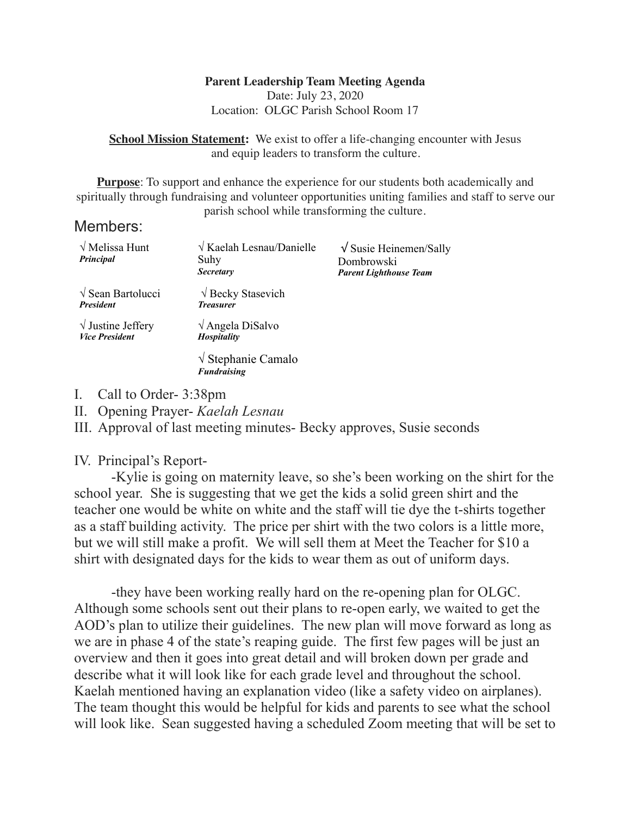## **Parent Leadership Team Meeting Agenda**

Date: July 23, 2020 Location: OLGC Parish School Room 17

**School Mission Statement:** We exist to offer a life-changing encounter with Jesus and equip leaders to transform the culture.

**Purpose**: To support and enhance the experience for our students both academically and spiritually through fundraising and volunteer opportunities uniting families and staff to serve our parish school while transforming the culture.

## Members:

| $\sqrt{\text{Melissa Hunt}}$<br>Principal          | $\sqrt{K$ aelah Lesnau/Danielle<br>Suhy<br><b>Secretary</b> | $\sqrt{\text{S}$ Susie Heinemen/Sally<br>Dombrowski<br><b>Parent Lighthouse Team</b> |
|----------------------------------------------------|-------------------------------------------------------------|--------------------------------------------------------------------------------------|
| $\sqrt{\ }$ Sean Bartolucci<br><b>President</b>    | $\sqrt{$ Becky Stasevich<br><b>Treasurer</b>                |                                                                                      |
| $\sqrt{}$ Justine Jeffery<br><b>Vice President</b> | $\sqrt{\text{Angle}}$ DiSalvo<br><b>Hospitality</b>         |                                                                                      |
|                                                    | $\sqrt{\text{Stephanie} }$ Camalo<br><b>Fundraising</b>     |                                                                                      |

- I. Call to Order- 3:38pm
- II. Opening Prayer- *Kaelah Lesnau*
- III. Approval of last meeting minutes- Becky approves, Susie seconds

## IV. Principal's Report-

 -Kylie is going on maternity leave, so she's been working on the shirt for the school year. She is suggesting that we get the kids a solid green shirt and the teacher one would be white on white and the staff will tie dye the t-shirts together as a staff building activity. The price per shirt with the two colors is a little more, but we will still make a profit. We will sell them at Meet the Teacher for \$10 a shirt with designated days for the kids to wear them as out of uniform days.

 -they have been working really hard on the re-opening plan for OLGC. Although some schools sent out their plans to re-open early, we waited to get the AOD's plan to utilize their guidelines. The new plan will move forward as long as we are in phase 4 of the state's reaping guide. The first few pages will be just an overview and then it goes into great detail and will broken down per grade and describe what it will look like for each grade level and throughout the school. Kaelah mentioned having an explanation video (like a safety video on airplanes). The team thought this would be helpful for kids and parents to see what the school will look like. Sean suggested having a scheduled Zoom meeting that will be set to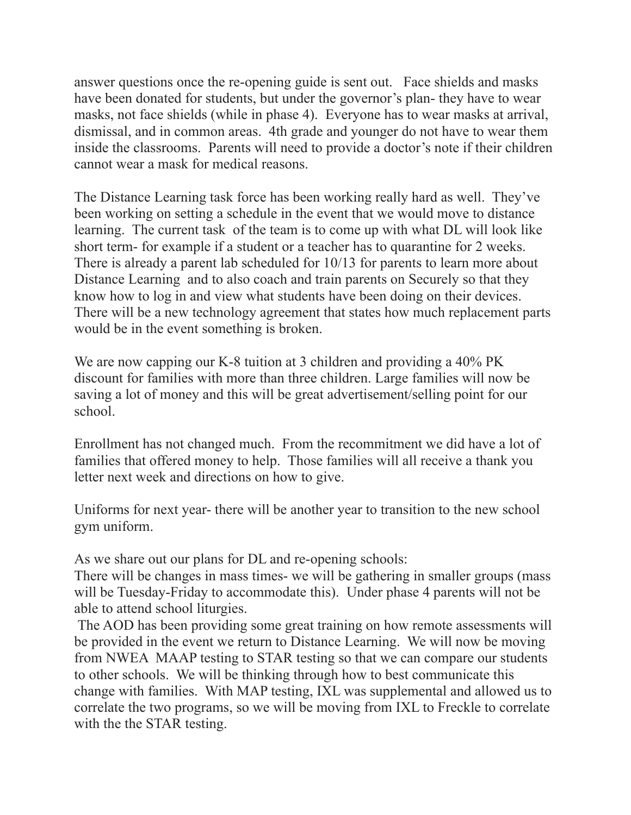answer questions once the re-opening guide is sent out. Face shields and masks have been donated for students, but under the governor's plan- they have to wear masks, not face shields (while in phase 4). Everyone has to wear masks at arrival, dismissal, and in common areas. 4th grade and younger do not have to wear them inside the classrooms. Parents will need to provide a doctor's note if their children cannot wear a mask for medical reasons.

The Distance Learning task force has been working really hard as well. They've been working on setting a schedule in the event that we would move to distance learning. The current task of the team is to come up with what DL will look like short term- for example if a student or a teacher has to quarantine for 2 weeks. There is already a parent lab scheduled for 10/13 for parents to learn more about Distance Learning and to also coach and train parents on Securely so that they know how to log in and view what students have been doing on their devices. There will be a new technology agreement that states how much replacement parts would be in the event something is broken.

We are now capping our K-8 tuition at 3 children and providing a 40% PK discount for families with more than three children. Large families will now be saving a lot of money and this will be great advertisement/selling point for our school.

Enrollment has not changed much. From the recommitment we did have a lot of families that offered money to help. Those families will all receive a thank you letter next week and directions on how to give.

Uniforms for next year- there will be another year to transition to the new school gym uniform.

As we share out our plans for DL and re-opening schools:

There will be changes in mass times- we will be gathering in smaller groups (mass will be Tuesday-Friday to accommodate this). Under phase 4 parents will not be able to attend school liturgies.

 The AOD has been providing some great training on how remote assessments will be provided in the event we return to Distance Learning. We will now be moving from NWEA MAAP testing to STAR testing so that we can compare our students to other schools. We will be thinking through how to best communicate this change with families. With MAP testing, IXL was supplemental and allowed us to correlate the two programs, so we will be moving from IXL to Freckle to correlate with the the STAR testing.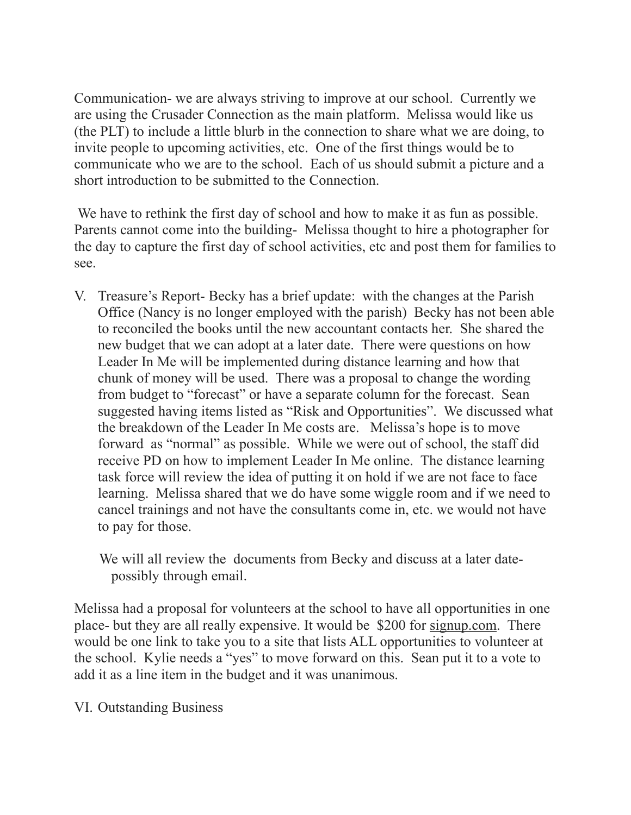Communication- we are always striving to improve at our school. Currently we are using the Crusader Connection as the main platform. Melissa would like us (the PLT) to include a little blurb in the connection to share what we are doing, to invite people to upcoming activities, etc. One of the first things would be to communicate who we are to the school. Each of us should submit a picture and a short introduction to be submitted to the Connection.

We have to rethink the first day of school and how to make it as fun as possible. Parents cannot come into the building- Melissa thought to hire a photographer for the day to capture the first day of school activities, etc and post them for families to see.

V. Treasure's Report- Becky has a brief update: with the changes at the Parish Office (Nancy is no longer employed with the parish) Becky has not been able to reconciled the books until the new accountant contacts her. She shared the new budget that we can adopt at a later date. There were questions on how Leader In Me will be implemented during distance learning and how that chunk of money will be used. There was a proposal to change the wording from budget to "forecast" or have a separate column for the forecast. Sean suggested having items listed as "Risk and Opportunities". We discussed what the breakdown of the Leader In Me costs are. Melissa's hope is to move forward as "normal" as possible. While we were out of school, the staff did receive PD on how to implement Leader In Me online. The distance learning task force will review the idea of putting it on hold if we are not face to face learning. Melissa shared that we do have some wiggle room and if we need to cancel trainings and not have the consultants come in, etc. we would not have to pay for those.

 We will all review the documents from Becky and discuss at a later date possibly through email.

Melissa had a proposal for volunteers at the school to have all opportunities in one place- but they are all really expensive. It would be \$200 for [signup.com](http://signup.com). There would be one link to take you to a site that lists ALL opportunities to volunteer at the school. Kylie needs a "yes" to move forward on this. Sean put it to a vote to add it as a line item in the budget and it was unanimous.

VI. Outstanding Business